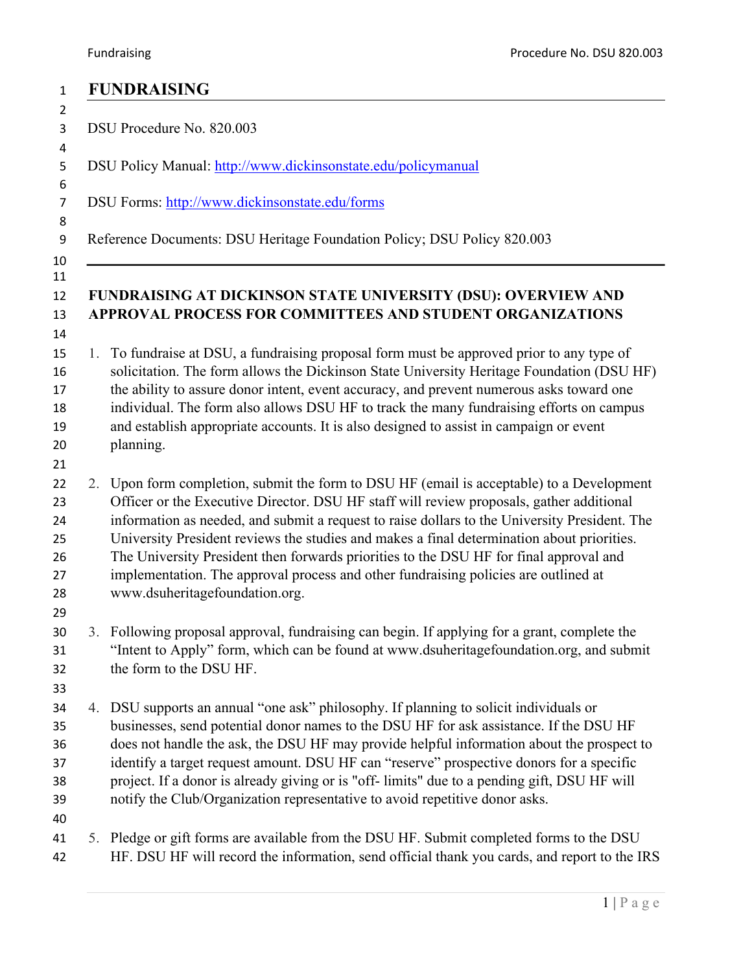|    | <b>FUNDRAISING</b>                                                                                                                                                                                                                                                                                                                                                                                                                                                                                                                                                                                      |  |  |  |  |
|----|---------------------------------------------------------------------------------------------------------------------------------------------------------------------------------------------------------------------------------------------------------------------------------------------------------------------------------------------------------------------------------------------------------------------------------------------------------------------------------------------------------------------------------------------------------------------------------------------------------|--|--|--|--|
|    | DSU Procedure No. 820.003                                                                                                                                                                                                                                                                                                                                                                                                                                                                                                                                                                               |  |  |  |  |
|    | DSU Policy Manual: http://www.dickinsonstate.edu/policymanual                                                                                                                                                                                                                                                                                                                                                                                                                                                                                                                                           |  |  |  |  |
|    | DSU Forms: http://www.dickinsonstate.edu/forms                                                                                                                                                                                                                                                                                                                                                                                                                                                                                                                                                          |  |  |  |  |
|    | Reference Documents: DSU Heritage Foundation Policy; DSU Policy 820.003                                                                                                                                                                                                                                                                                                                                                                                                                                                                                                                                 |  |  |  |  |
|    | FUNDRAISING AT DICKINSON STATE UNIVERSITY (DSU): OVERVIEW AND<br>APPROVAL PROCESS FOR COMMITTEES AND STUDENT ORGANIZATIONS                                                                                                                                                                                                                                                                                                                                                                                                                                                                              |  |  |  |  |
| 1. | To fundraise at DSU, a fundraising proposal form must be approved prior to any type of<br>solicitation. The form allows the Dickinson State University Heritage Foundation (DSU HF)<br>the ability to assure donor intent, event accuracy, and prevent numerous asks toward one<br>individual. The form also allows DSU HF to track the many fundraising efforts on campus<br>and establish appropriate accounts. It is also designed to assist in campaign or event<br>planning.                                                                                                                       |  |  |  |  |
|    | 2. Upon form completion, submit the form to DSU HF (email is acceptable) to a Development<br>Officer or the Executive Director. DSU HF staff will review proposals, gather additional<br>information as needed, and submit a request to raise dollars to the University President. The<br>University President reviews the studies and makes a final determination about priorities.<br>The University President then forwards priorities to the DSU HF for final approval and<br>implementation. The approval process and other fundraising policies are outlined at<br>www.dsuheritagefoundation.org. |  |  |  |  |
|    | 3. Following proposal approval, fundraising can begin. If applying for a grant, complete the<br>"Intent to Apply" form, which can be found at www.dsuheritagefoundation.org, and submit<br>the form to the DSU HF.                                                                                                                                                                                                                                                                                                                                                                                      |  |  |  |  |
|    | 4. DSU supports an annual "one ask" philosophy. If planning to solicit individuals or<br>businesses, send potential donor names to the DSU HF for ask assistance. If the DSU HF<br>does not handle the ask, the DSU HF may provide helpful information about the prospect to<br>identify a target request amount. DSU HF can "reserve" prospective donors for a specific<br>project. If a donor is already giving or is "off-limits" due to a pending gift, DSU HF will<br>notify the Club/Organization representative to avoid repetitive donor asks.                                                  |  |  |  |  |
|    | 5. Pledge or gift forms are available from the DSU HF. Submit completed forms to the DSU<br>HF. DSU HF will record the information, send official thank you cards, and report to the IRS                                                                                                                                                                                                                                                                                                                                                                                                                |  |  |  |  |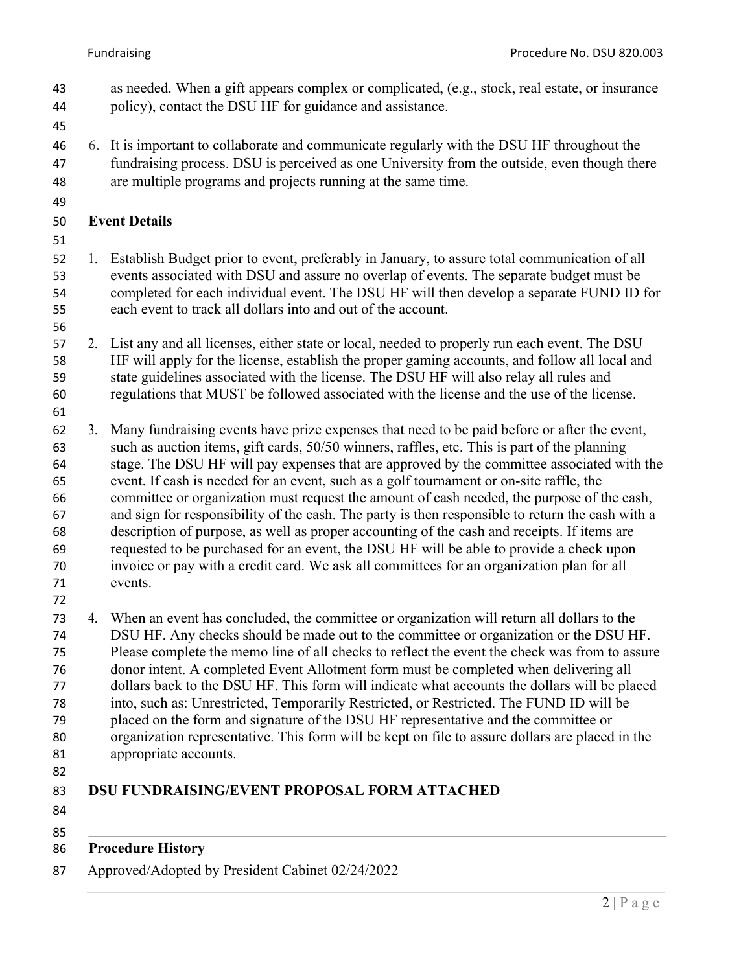- as needed. When a gift appears complex or complicated, (e.g., stock, real estate, or insurance policy), contact the DSU HF for guidance and assistance.
- 
- 6. It is important to collaborate and communicate regularly with the DSU HF throughout the fundraising process. DSU is perceived as one University from the outside, even though there are multiple programs and projects running at the same time.
- 

### **Event Details**

 1. Establish Budget prior to event, preferably in January, to assure total communication of all events associated with DSU and assure no overlap of events. The separate budget must be completed for each individual event. The DSU HF will then develop a separate FUND ID for each event to track all dollars into and out of the account.

 2. List any and all licenses, either state or local, needed to properly run each event. The DSU HF will apply for the license, establish the proper gaming accounts, and follow all local and state guidelines associated with the license. The DSU HF will also relay all rules and regulations that MUST be followed associated with the license and the use of the license.

 3. Many fundraising events have prize expenses that need to be paid before or after the event, such as auction items, gift cards, 50/50 winners, raffles, etc. This is part of the planning stage. The DSU HF will pay expenses that are approved by the committee associated with the event. If cash is needed for an event, such as a golf tournament or on-site raffle, the committee or organization must request the amount of cash needed, the purpose of the cash, and sign for responsibility of the cash. The party is then responsible to return the cash with a description of purpose, as well as proper accounting of the cash and receipts. If items are requested to be purchased for an event, the DSU HF will be able to provide a check upon invoice or pay with a credit card. We ask all committees for an organization plan for all events.

 4. When an event has concluded, the committee or organization will return all dollars to the DSU HF. Any checks should be made out to the committee or organization or the DSU HF. Please complete the memo line of all checks to reflect the event the check was from to assure donor intent. A completed Event Allotment form must be completed when delivering all dollars back to the DSU HF. This form will indicate what accounts the dollars will be placed into, such as: Unrestricted, Temporarily Restricted, or Restricted. The FUND ID will be placed on the form and signature of the DSU HF representative and the committee or organization representative. This form will be kept on file to assure dollars are placed in the appropriate accounts.

### **DSU FUNDRAISING/EVENT PROPOSAL FORM ATTACHED**

- 
- **Procedure History**
- Approved/Adopted by President Cabinet 02/24/2022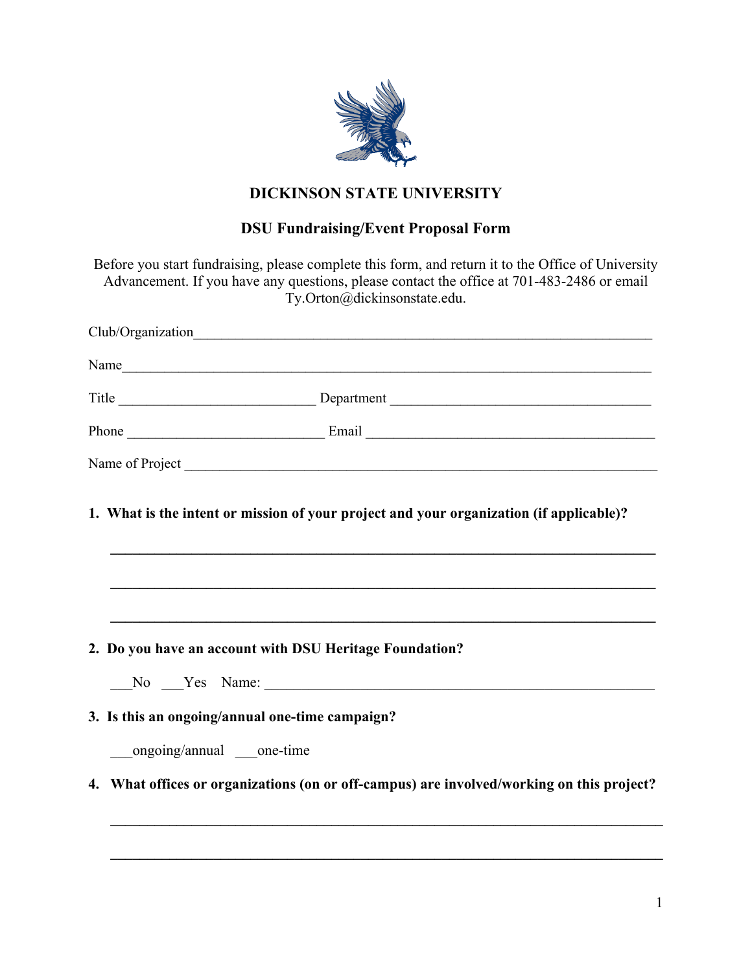

# **DICKINSON STATE UNIVERSITY**

## **DSU Fundraising/Event Proposal Form**

|                                                 | Before you start fundraising, please complete this form, and return it to the Office of University<br>Advancement. If you have any questions, please contact the office at 701-483-2486 or email<br>Ty.Orton@dickinsonstate.edu. |  |  |  |  |  |
|-------------------------------------------------|----------------------------------------------------------------------------------------------------------------------------------------------------------------------------------------------------------------------------------|--|--|--|--|--|
|                                                 |                                                                                                                                                                                                                                  |  |  |  |  |  |
|                                                 | Name and the state of the state of the state of the state of the state of the state of the state of the state of the state of the state of the state of the state of the state of the state of the state of the state of the s   |  |  |  |  |  |
|                                                 |                                                                                                                                                                                                                                  |  |  |  |  |  |
|                                                 |                                                                                                                                                                                                                                  |  |  |  |  |  |
|                                                 |                                                                                                                                                                                                                                  |  |  |  |  |  |
|                                                 |                                                                                                                                                                                                                                  |  |  |  |  |  |
|                                                 | 2. Do you have an account with DSU Heritage Foundation?                                                                                                                                                                          |  |  |  |  |  |
|                                                 | No Yes Name:                                                                                                                                                                                                                     |  |  |  |  |  |
| 3. Is this an ongoing/annual one-time campaign? |                                                                                                                                                                                                                                  |  |  |  |  |  |
|                                                 | ongoing/annual one-time                                                                                                                                                                                                          |  |  |  |  |  |
| $\mathbf{4}$ .                                  | What offices or organizations (on or off-campus) are involved/working on this project?                                                                                                                                           |  |  |  |  |  |
|                                                 |                                                                                                                                                                                                                                  |  |  |  |  |  |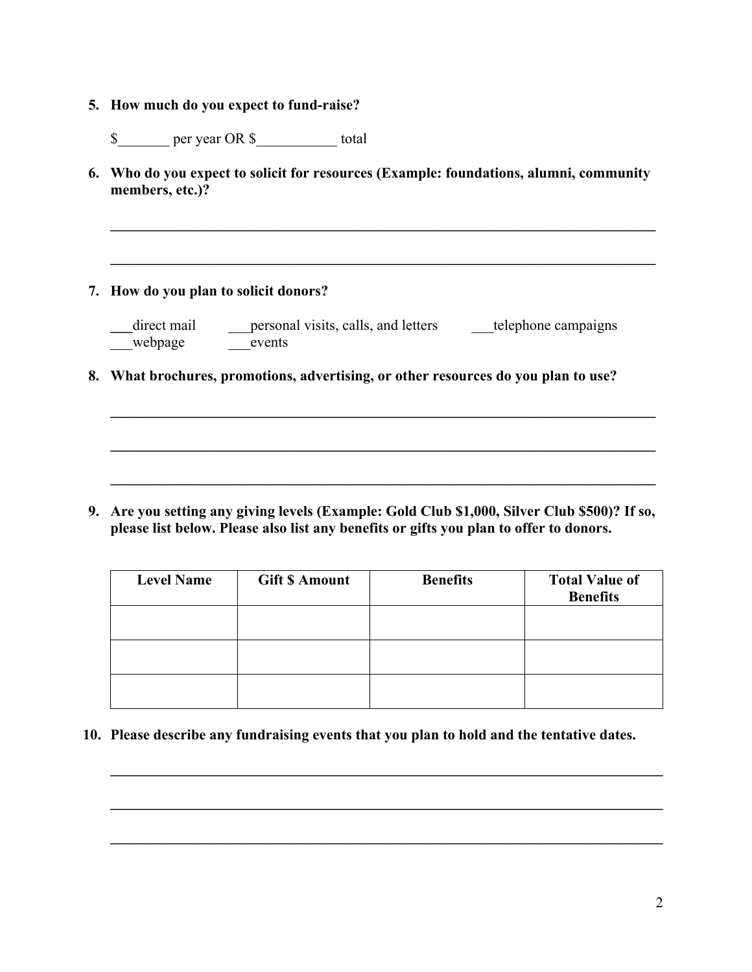- **5. How much do you expect to fund-raise?**
	- \$ per year OR \$ total
- **6. Who do you expect to solicit for resources (Example: foundations, alumni, community members, etc.)?**

 $\mathcal{L} = \{ \mathcal{L} \mathcal{L} \mathcal{L} \mathcal{L} \mathcal{L} \mathcal{L} \mathcal{L} \mathcal{L} \mathcal{L} \mathcal{L} \mathcal{L} \mathcal{L} \mathcal{L} \mathcal{L} \mathcal{L} \mathcal{L} \mathcal{L} \mathcal{L} \mathcal{L} \mathcal{L} \mathcal{L} \mathcal{L} \mathcal{L} \mathcal{L} \mathcal{L} \mathcal{L} \mathcal{L} \mathcal{L} \mathcal{L} \mathcal{L} \mathcal{L} \mathcal{L} \mathcal{L} \mathcal{L} \mathcal{L} \$ 

 $\mathcal{L} = \{ \mathcal{L} \mathcal{L} \mathcal{L} \mathcal{L} \mathcal{L} \mathcal{L} \mathcal{L} \mathcal{L} \mathcal{L} \mathcal{L} \mathcal{L} \mathcal{L} \mathcal{L} \mathcal{L} \mathcal{L} \mathcal{L} \mathcal{L} \mathcal{L} \mathcal{L} \mathcal{L} \mathcal{L} \mathcal{L} \mathcal{L} \mathcal{L} \mathcal{L} \mathcal{L} \mathcal{L} \mathcal{L} \mathcal{L} \mathcal{L} \mathcal{L} \mathcal{L} \mathcal{L} \mathcal{L} \mathcal{L} \$ 

 $\mathcal{L}_\mathcal{L} = \{ \mathcal{L}_\mathcal{L} = \{ \mathcal{L}_\mathcal{L} = \{ \mathcal{L}_\mathcal{L} = \{ \mathcal{L}_\mathcal{L} = \{ \mathcal{L}_\mathcal{L} = \{ \mathcal{L}_\mathcal{L} = \{ \mathcal{L}_\mathcal{L} = \{ \mathcal{L}_\mathcal{L} = \{ \mathcal{L}_\mathcal{L} = \{ \mathcal{L}_\mathcal{L} = \{ \mathcal{L}_\mathcal{L} = \{ \mathcal{L}_\mathcal{L} = \{ \mathcal{L}_\mathcal{L} = \{ \mathcal{L}_\mathcal{$ 

 $\mathcal{L}_\mathcal{L} = \{ \mathcal{L}_\mathcal{L} = \{ \mathcal{L}_\mathcal{L} = \{ \mathcal{L}_\mathcal{L} = \{ \mathcal{L}_\mathcal{L} = \{ \mathcal{L}_\mathcal{L} = \{ \mathcal{L}_\mathcal{L} = \{ \mathcal{L}_\mathcal{L} = \{ \mathcal{L}_\mathcal{L} = \{ \mathcal{L}_\mathcal{L} = \{ \mathcal{L}_\mathcal{L} = \{ \mathcal{L}_\mathcal{L} = \{ \mathcal{L}_\mathcal{L} = \{ \mathcal{L}_\mathcal{L} = \{ \mathcal{L}_\mathcal{$ 

 $\mathcal{L} = \{ \mathcal{L} \mathcal{L} \mathcal{L} \mathcal{L} \mathcal{L} \mathcal{L} \mathcal{L} \mathcal{L} \mathcal{L} \mathcal{L} \mathcal{L} \mathcal{L} \mathcal{L} \mathcal{L} \mathcal{L} \mathcal{L} \mathcal{L} \mathcal{L} \mathcal{L} \mathcal{L} \mathcal{L} \mathcal{L} \mathcal{L} \mathcal{L} \mathcal{L} \mathcal{L} \mathcal{L} \mathcal{L} \mathcal{L} \mathcal{L} \mathcal{L} \mathcal{L} \mathcal{L} \mathcal{L} \mathcal{L} \$ 

**7. How do you plan to solicit donors?**

| direct mail | personal visits, calls, and letters | telephone campaigns |
|-------------|-------------------------------------|---------------------|
| webpage     | events                              |                     |

**8. What brochures, promotions, advertising, or other resources do you plan to use?**

**9. Are you setting any giving levels (Example: Gold Club \$1,000, Silver Club \$500)? If so, please list below. Please also list any benefits or gifts you plan to offer to donors.**

| <b>Level Name</b> | <b>Gift \$ Amount</b> | <b>Benefits</b> | <b>Total Value of</b><br><b>Benefits</b> |
|-------------------|-----------------------|-----------------|------------------------------------------|
|                   |                       |                 |                                          |
|                   |                       |                 |                                          |
|                   |                       |                 |                                          |

 $\mathcal{L} = \{ \mathcal{L} \mathcal{L} \mathcal{L} \mathcal{L} \mathcal{L} \mathcal{L} \mathcal{L} \mathcal{L} \mathcal{L} \mathcal{L} \mathcal{L} \mathcal{L} \mathcal{L} \mathcal{L} \mathcal{L} \mathcal{L} \mathcal{L} \mathcal{L} \mathcal{L} \mathcal{L} \mathcal{L} \mathcal{L} \mathcal{L} \mathcal{L} \mathcal{L} \mathcal{L} \mathcal{L} \mathcal{L} \mathcal{L} \mathcal{L} \mathcal{L} \mathcal{L} \mathcal{L} \mathcal{L} \mathcal{L} \$ 

 $\mathcal{L}_\mathcal{L} = \mathcal{L}_\mathcal{L} = \mathcal{L}_\mathcal{L} = \mathcal{L}_\mathcal{L} = \mathcal{L}_\mathcal{L} = \mathcal{L}_\mathcal{L} = \mathcal{L}_\mathcal{L} = \mathcal{L}_\mathcal{L} = \mathcal{L}_\mathcal{L} = \mathcal{L}_\mathcal{L} = \mathcal{L}_\mathcal{L} = \mathcal{L}_\mathcal{L} = \mathcal{L}_\mathcal{L} = \mathcal{L}_\mathcal{L} = \mathcal{L}_\mathcal{L} = \mathcal{L}_\mathcal{L} = \mathcal{L}_\mathcal{L}$ 

 $\mathcal{L}_\mathcal{L} = \mathcal{L}_\mathcal{L} = \mathcal{L}_\mathcal{L} = \mathcal{L}_\mathcal{L} = \mathcal{L}_\mathcal{L} = \mathcal{L}_\mathcal{L} = \mathcal{L}_\mathcal{L} = \mathcal{L}_\mathcal{L} = \mathcal{L}_\mathcal{L} = \mathcal{L}_\mathcal{L} = \mathcal{L}_\mathcal{L} = \mathcal{L}_\mathcal{L} = \mathcal{L}_\mathcal{L} = \mathcal{L}_\mathcal{L} = \mathcal{L}_\mathcal{L} = \mathcal{L}_\mathcal{L} = \mathcal{L}_\mathcal{L}$ 

**10. Please describe any fundraising events that you plan to hold and the tentative dates.**